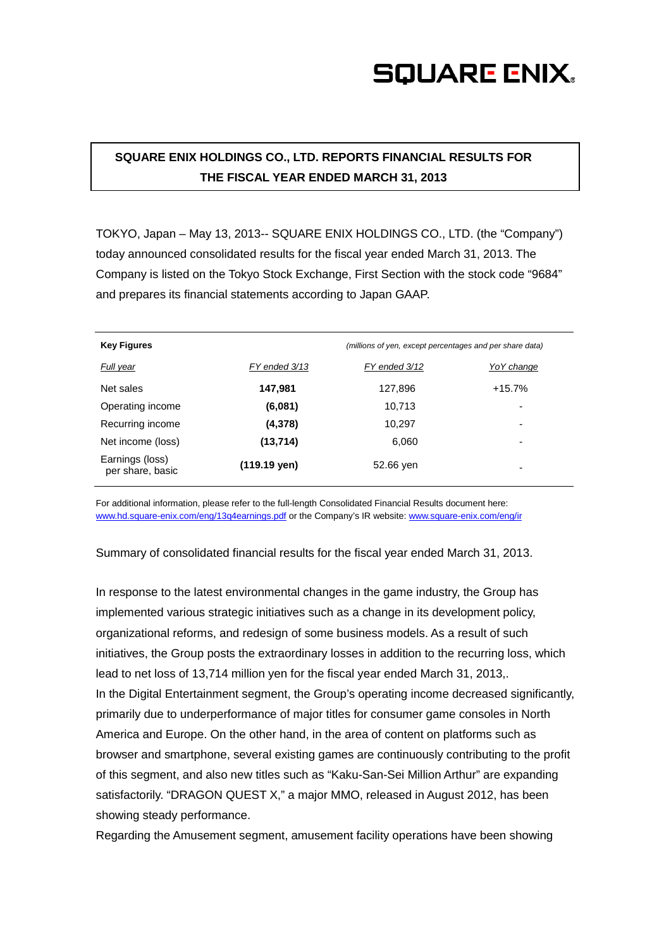## **SQUARE ENIX.**

### **SQUARE ENIX HOLDINGS CO., LTD. REPORTS FINANCIAL RESULTS FOR THE FISCAL YEAR ENDED MARCH 31, 2013**

TOKYO, Japan – May 13, 2013-- SQUARE ENIX HOLDINGS CO., LTD. (the "Company") today announced consolidated results for the fiscal year ended March 31, 2013. The Company is listed on the Tokyo Stock Exchange, First Section with the stock code "9684" and prepares its financial statements according to Japan GAAP.

| <b>Key Figures</b>                  | (millions of yen, except percentages and per share data) |               |                          |
|-------------------------------------|----------------------------------------------------------|---------------|--------------------------|
| Full year                           | FY ended 3/13                                            | FY ended 3/12 | Yo Y change              |
| Net sales                           | 147,981                                                  | 127,896       | $+15.7%$                 |
| Operating income                    | (6,081)                                                  | 10,713        | -                        |
| Recurring income                    | (4,378)                                                  | 10,297        | $\overline{\phantom{0}}$ |
| Net income (loss)                   | (13,714)                                                 | 6,060         | -                        |
| Earnings (loss)<br>per share, basic | $(119.19 \text{ yen})$                                   | 52.66 yen     | ۰                        |

For additional information, please refer to the full-length Consolidated Financial Results document here: [www.hd.square-enix.com/eng/13q4earnings.pdf](http://www.hd.square-enix.com/eng/13q4earnings.pdf) or the Company's IR website: [www.square-enix.com/eng/ir](http://www.square-enix.com/eng/ir)

Summary of consolidated financial results for the fiscal year ended March 31, 2013.

In response to the latest environmental changes in the game industry, the Group has implemented various strategic initiatives such as a change in its development policy, organizational reforms, and redesign of some business models. As a result of such initiatives, the Group posts the extraordinary losses in addition to the recurring loss, which lead to net loss of 13,714 million yen for the fiscal year ended March 31, 2013,. In the Digital Entertainment segment, the Group's operating income decreased significantly, primarily due to underperformance of major titles for consumer game consoles in North America and Europe. On the other hand, in the area of content on platforms such as browser and smartphone, several existing games are continuously contributing to the profit of this segment, and also new titles such as "Kaku-San-Sei Million Arthur" are expanding satisfactorily. "DRAGON QUEST X," a major MMO, released in August 2012, has been showing steady performance.

Regarding the Amusement segment, amusement facility operations have been showing